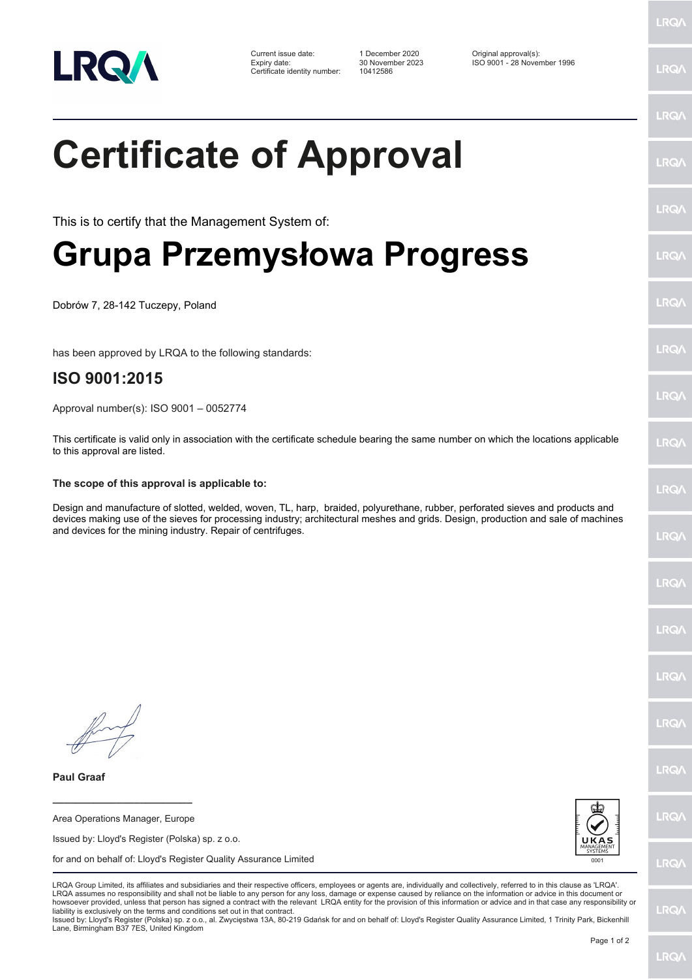

Certificate identity number: 10412586

Current issue date: 1 December 2020 Original approval(s): Expiry date: 30 November 2023 ISO 9001 - 28 November 1996

LRQ/

### LRQ/

LRQ/

LRQ/

LRQ/

LRQ/

LRQ/

LRQ/

**LRQA** 

**LRO** 

LRQ/

LRQ/

LRQ/

LRQ/

**IRQ** 

**LRO/** 

LRQ/

LRQ/

**LRQ/** 

LRQ/

# **Certificate of Approval**

This is to certify that the Management System of:

## **Grupa Przemysłowa Progress**

Dobrów 7, 28-142 Tuczepy, Poland

has been approved by LRQA to the following standards:

### **ISO 9001:2015**

Approval number(s): ISO 9001 – 0052774

This certificate is valid only in association with the certificate schedule bearing the same number on which the locations applicable to this approval are listed.

#### **The scope of this approval is applicable to:**

Design and manufacture of slotted, welded, woven, TL, harp, braided, polyurethane, rubber, perforated sieves and products and devices making use of the sieves for processing industry; architectural meshes and grids. Design, production and sale of machines and devices for the mining industry. Repair of centrifuges.

**Paul Graaf**

Area Operations Manager, Europe

**\_\_\_\_\_\_\_\_\_\_\_\_\_\_\_\_\_\_\_\_\_\_\_\_**

Issued by: Lloyd's Register (Polska) sp. z o.o.

for and on behalf of: Lloyd's Register Quality Assurance Limited



LRQA Group Limited, its affiliates and subsidiaries and their respective officers, employees or agents are, individually and collectively, referred to in this clause as 'LRQA'. LRQA assumes no responsibility and shall not be liable to any person for any loss, damage or expense caused by reliance on the information or advice in this document or howsoever provided, unless that person has signed a contract with the relevant LRQA entity for the provision of this information or advice and in that case any responsibility or<br>liability is exclusively on the terms and co

Issued by: Lloyd's Register (Polska) sp. z o.o., al. Zwycięstwa 13A, 80-219 Gdańsk for and on behalf of: Lloyd's Register Quality Assurance Limited, 1 Trinity Park, Bickenhill Lane, Birmingham B37 7ES, United Kingdom